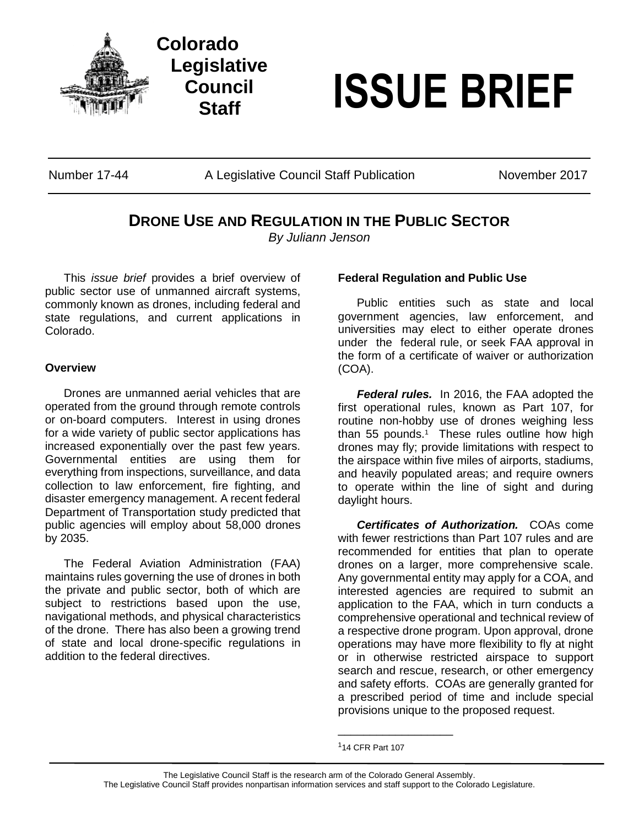



# **Staff <b>ISSUE BRIEF**

Number 17-44 **A Legislative Council Staff Publication** November 2017

# **DRONE USE AND REGULATION IN THE PUBLIC SECTOR**

*By Juliann Jenson*

This *issue brief* provides a brief overview of public sector use of unmanned aircraft systems, commonly known as drones, including federal and state regulations, and current applications in Colorado.

## **Overview**

Drones are unmanned aerial vehicles that are operated from the ground through remote controls or on-board computers. Interest in using drones for a wide variety of public sector applications has increased exponentially over the past few years. Governmental entities are using them for everything from inspections, surveillance, and data collection to law enforcement, fire fighting, and disaster emergency management. A recent federal Department of Transportation study predicted that public agencies will employ about 58,000 drones by 2035.

The Federal Aviation Administration (FAA) maintains rules governing the use of drones in both the private and public sector, both of which are subject to restrictions based upon the use, navigational methods, and physical characteristics of the drone. There has also been a growing trend of state and local drone-specific regulations in addition to the federal directives.

# **Federal Regulation and Public Use**

Public entities such as state and local government agencies, law enforcement, and universities may elect to either operate drones under the federal rule, or seek FAA approval in the form of a certificate of waiver or authorization (COA).

*Federal rules.* In 2016, the FAA adopted the first operational rules, known as Part 107, for routine non-hobby use of drones weighing less than 55 pounds.<sup>1</sup> These rules outline how high drones may fly; provide limitations with respect to the airspace within five miles of airports, stadiums, and heavily populated areas; and require owners to operate within the line of sight and during daylight hours.

*Certificates of Authorization.* COAs come with fewer restrictions than Part 107 rules and are recommended for entities that plan to operate drones on a larger, more comprehensive scale. Any governmental entity may apply for a COA, and interested agencies are required to submit an application to the FAA, which in turn conducts a comprehensive operational and technical review of a respective drone program. Upon approval, drone operations may have more flexibility to fly at night or in otherwise restricted airspace to support search and rescue, research, or other emergency and safety efforts. COAs are generally granted for a prescribed period of time and include special provisions unique to the proposed request.

\_\_\_\_\_\_\_\_\_\_\_\_\_\_\_\_\_\_

The Legislative Council Staff is the research arm of the Colorado General Assembly. The Legislative Council Staff provides nonpartisan information services and staff support to the Colorado Legislature.

<sup>1</sup>14 CFR Part 107